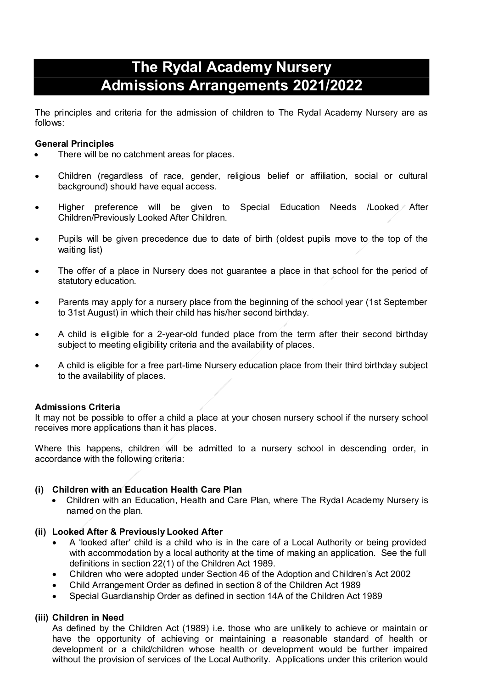# **The Rydal Academy Nursery Admissions Arrangements 2021/2022**

The principles and criteria for the admission of children to The Rydal Academy Nursery are as follows:

# **General Principles**

- There will be no catchment areas for places.
- Children (regardless of race, gender, religious belief or affiliation, social or cultural background) should have equal access.
- Higher preference will be given to Special Education Needs /Looked After Children/Previously Looked After Children.
- Pupils will be given precedence due to date of birth (oldest pupils move to the top of the waiting list)
- The offer of a place in Nursery does not guarantee a place in that school for the period of statutory education.
- Parents may apply for a nursery place from the beginning of the school year (1st September to 31st August) in which their child has his/her second birthday.
- A child is eligible for a 2-year-old funded place from the term after their second birthday subject to meeting eligibility criteria and the availability of places.
- A child is eligible for a free part-time Nursery education place from their third birthday subject to the availability of places.

# **Admissions Criteria**

It may not be possible to offer a child a place at your chosen nursery school if the nursery school receives more applications than it has places.

Where this happens, children will be admitted to a nursery school in descending order, in accordance with the following criteria:

# **(i) Children with an Education Health Care Plan**

 Children with an Education, Health and Care Plan, where The Rydal Academy Nursery is named on the plan.

## **(ii) Looked After & Previously Looked After**

- A 'looked after' child is a child who is in the care of a Local Authority or being provided with accommodation by a local authority at the time of making an application. See the full definitions in section 22(1) of the Children Act 1989.
- Children who were adopted under Section 46 of the Adoption and Children's Act 2002
- Child Arrangement Order as defined in section 8 of the Children Act 1989
- Special Guardianship Order as defined in section 14A of the Children Act 1989

# **(iii) Children in Need**

As defined by the Children Act (1989) i.e. those who are unlikely to achieve or maintain or have the opportunity of achieving or maintaining a reasonable standard of health or development or a child/children whose health or development would be further impaired without the provision of services of the Local Authority. Applications under this criterion would